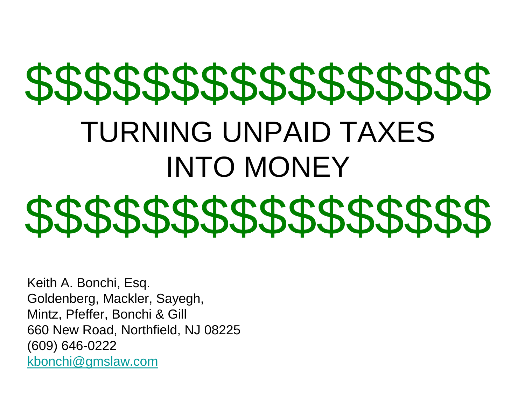# \$\$\$\$\$\$\$\$\$\$\$\$\$\$\$\$ TURNING UNPAID TAXES INTO MONEY \$\$\$\$\$\$\$\$\$\$\$\$\$\$\$\$\$\$\$\$\$\$\$\$\$\$\$\$\$\$

Keith A. Bonchi, Esq. Goldenberg, Mackler, Sayegh, Mintz, Pfeffer, Bonchi & Gill 660 New Road, Northfield, NJ 08225 (609) 646-0222 [kbonchi@gmslaw.com](mailto:kbonchi@gmslaw.com)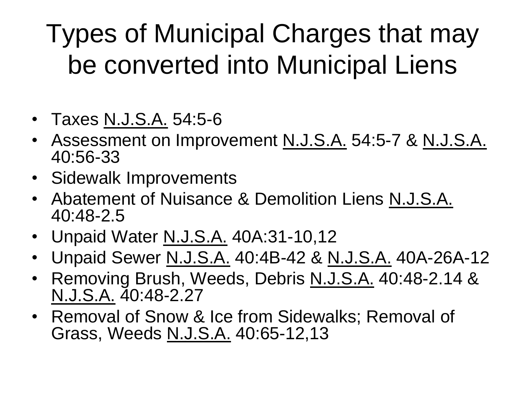#### Types of Municipal Charges that may be converted into Municipal Liens

- Taxes N.J.S.A. 54:5-6
- Assessment on Improvement N.J.S.A. 54:5-7 & N.J.S.A. 40:56-33
- Sidewalk Improvements
- Abatement of Nuisance & Demolition Liens N.J.S.A. 40:48-2.5
- Unpaid Water N.J.S.A. 40A:31-10,12
- Unpaid Sewer N.J.S.A. 40:4B-42 & N.J.S.A. 40A-26A-12
- Removing Brush, Weeds, Debris N.J.S.A. 40:48-2.14 & N.J.S.A. 40:48-2.27
- Removal of Snow & Ice from Sidewalks; Removal of Grass, Weeds N.J.S.A. 40:65-12,13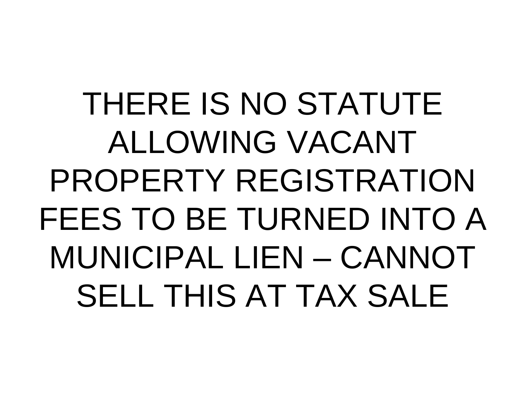THERE IS NO STATUTE ALLOWING VACANT PROPERTY REGISTRATION FEES TO BE TURNED INTO A MUNICIPAL LIEN – CANNOT SELL THIS AT TAX SALE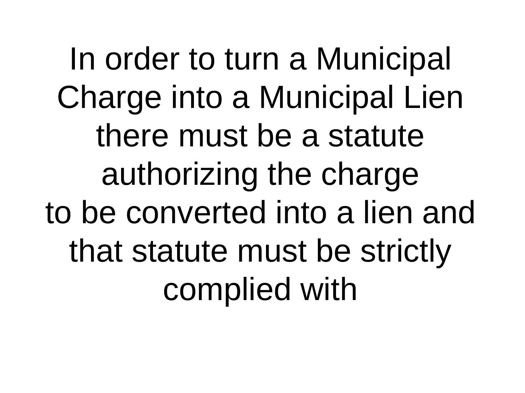In order to turn a Municipal Charge into a Municipal Lien there must be a statute authorizing the charge to be converted into a lien and that statute must be strictly complied with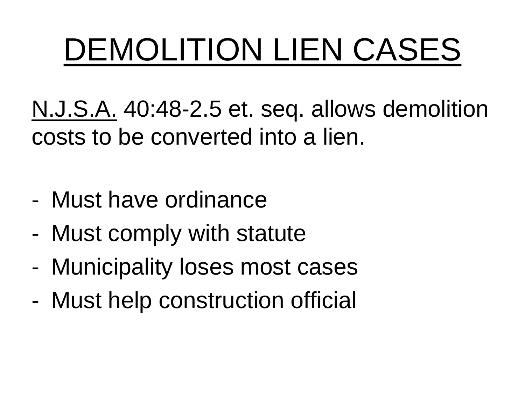# DEMOLITION LIEN CASES

N.J.S.A. 40:48-2.5 et. seq. allows demolition costs to be converted into a lien.

- Must have ordinance
- Must comply with statute
- Municipality loses most cases
- Must help construction official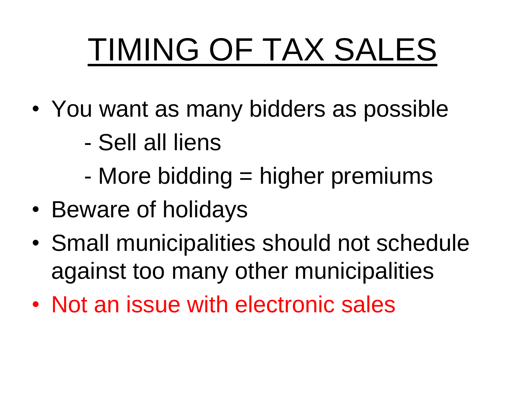# TIMING OF TAX SALES

- You want as many bidders as possible
	- Sell all liens
	- More bidding = higher premiums
- Beware of holidays
- Small municipalities should not schedule against too many other municipalities
- Not an issue with electronic sales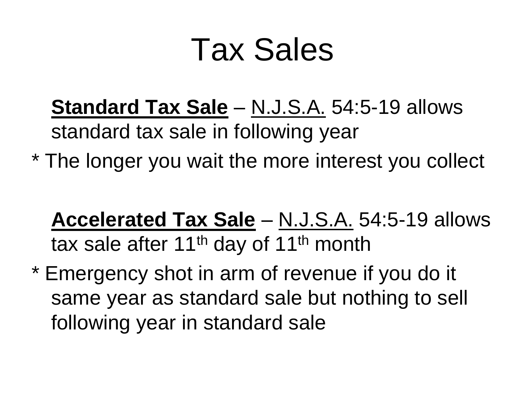### Tax Sales

- **Standard Tax Sale** N.J.S.A. 54:5-19 allows standard tax sale in following year
- \* The longer you wait the more interest you collect

**Accelerated Tax Sale** – N.J.S.A. 54:5-19 allows tax sale after  $11<sup>th</sup>$  day of  $11<sup>th</sup>$  month

\* Emergency shot in arm of revenue if you do it same year as standard sale but nothing to sell following year in standard sale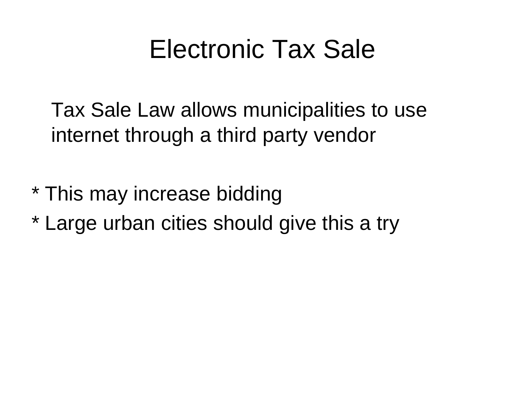#### Electronic Tax Sale

Tax Sale Law allows municipalities to use internet through a third party vendor

- \* This may increase bidding
- \* Large urban cities should give this a try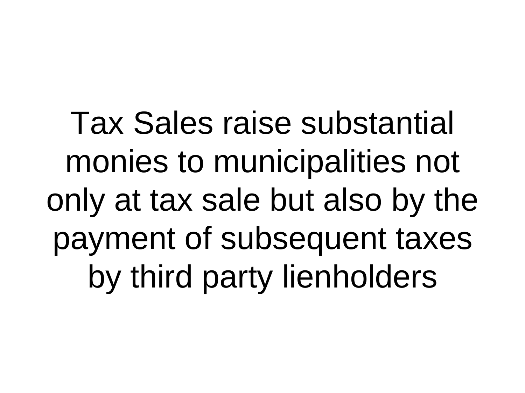Tax Sales raise substantial monies to municipalities not only at tax sale but also by the payment of subsequent taxes by third party lienholders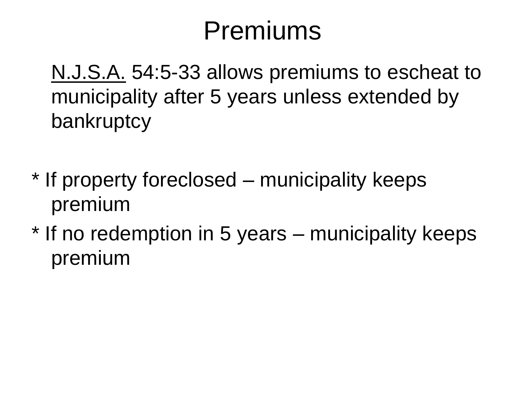#### Premiums

N.J.S.A. 54:5-33 allows premiums to escheat to municipality after 5 years unless extended by bankruptcy

- \* If property foreclosed municipality keeps premium
- \* If no redemption in 5 years municipality keeps premium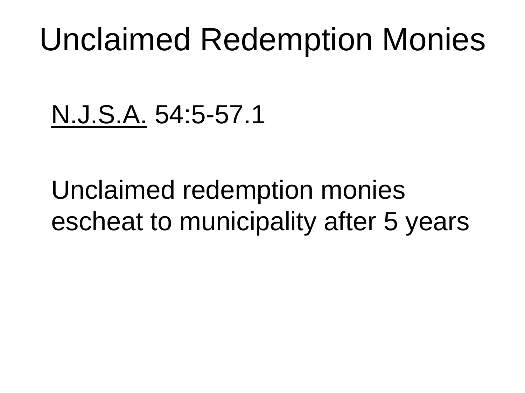### Unclaimed Redemption Monies

N.J.S.A. 54:5-57.1

Unclaimed redemption monies escheat to municipality after 5 years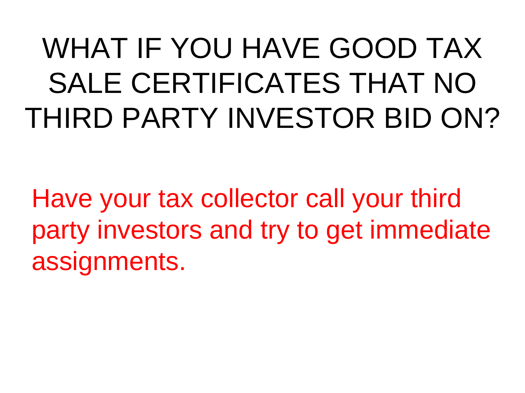### WHAT IF YOU HAVE GOOD TAX SALE CERTIFICATES THAT NO THIRD PARTY INVESTOR BID ON?

Have your tax collector call your third party investors and try to get immediate assignments.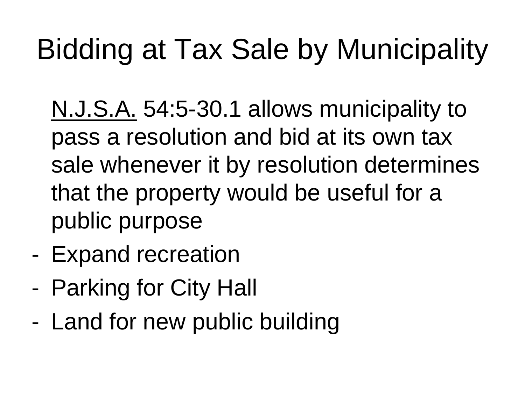### Bidding at Tax Sale by Municipality

N.J.S.A. 54:5-30.1 allows municipality to pass a resolution and bid at its own tax sale whenever it by resolution determines that the property would be useful for a public purpose

- Expand recreation
- Parking for City Hall
- Land for new public building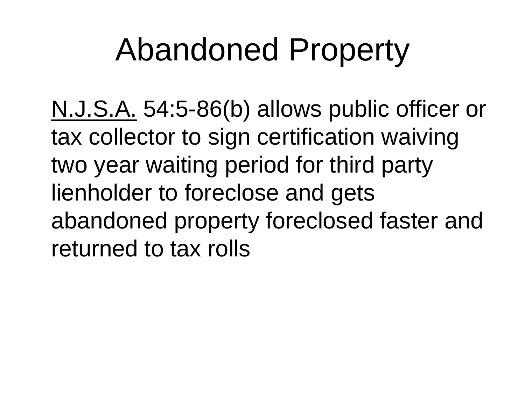### Abandoned Property

N.J.S.A. 54:5-86(b) allows public officer or tax collector to sign certification waiving two year waiting period for third party lienholder to foreclose and gets abandoned property foreclosed faster and returned to tax rolls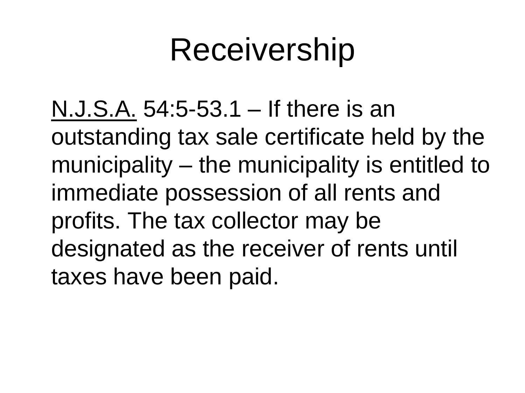### Receivership

N.J.S.A. 54:5-53.1 – If there is an outstanding tax sale certificate held by the municipality – the municipality is entitled to immediate possession of all rents and profits. The tax collector may be designated as the receiver of rents until taxes have been paid.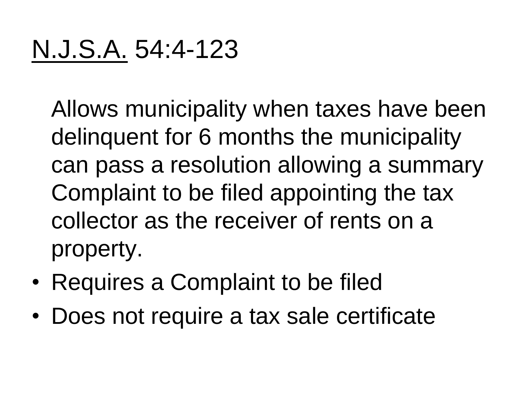#### N.J.S.A. 54:4-123

Allows municipality when taxes have been delinquent for 6 months the municipality can pass a resolution allowing a summary Complaint to be filed appointing the tax collector as the receiver of rents on a property.

- Requires a Complaint to be filed
- Does not require a tax sale certificate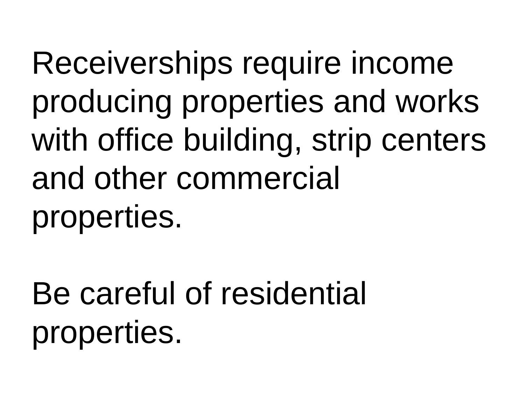Receiverships require income producing properties and works with office building, strip centers and other commercial properties.

Be careful of residential properties.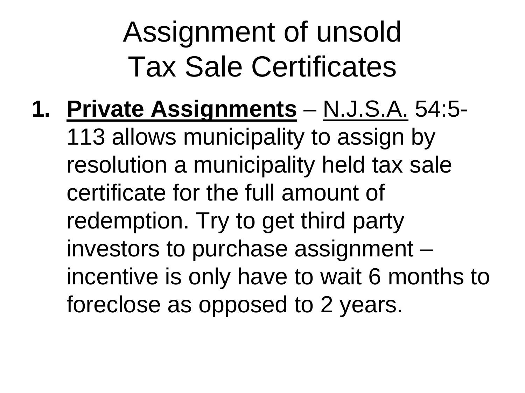### Assignment of unsold Tax Sale Certificates

**1. Private Assignments** – N.J.S.A. 54:5- 113 allows municipality to assign by resolution a municipality held tax sale certificate for the full amount of redemption. Try to get third party investors to purchase assignment – incentive is only have to wait 6 months to foreclose as opposed to 2 years.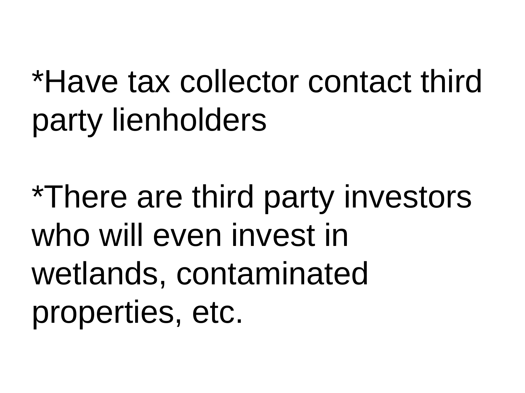## \*Have tax collector contact third party lienholders

\*There are third party investors who will even invest in wetlands, contaminated properties, etc.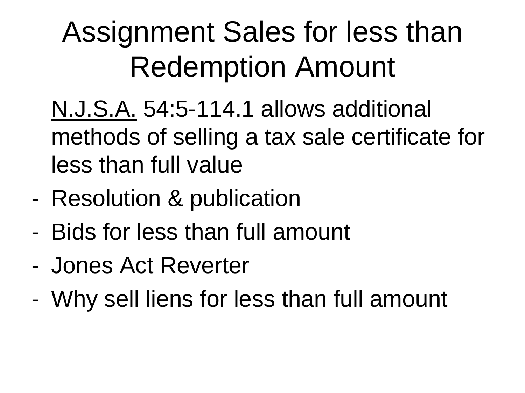### Assignment Sales for less than Redemption Amount

N.J.S.A. 54:5-114.1 allows additional methods of selling a tax sale certificate for less than full value

- Resolution & publication
- Bids for less than full amount
- Jones Act Reverter
- Why sell liens for less than full amount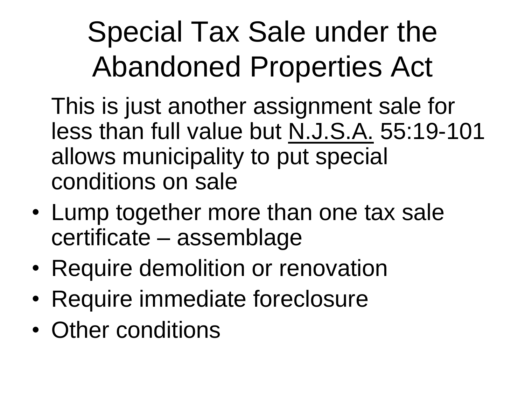### Special Tax Sale under the Abandoned Properties Act

- This is just another assignment sale for less than full value but N.J.S.A. 55:19-101 allows municipality to put special conditions on sale
- Lump together more than one tax sale certificate – assemblage
- Require demolition or renovation
- Require immediate foreclosure
- Other conditions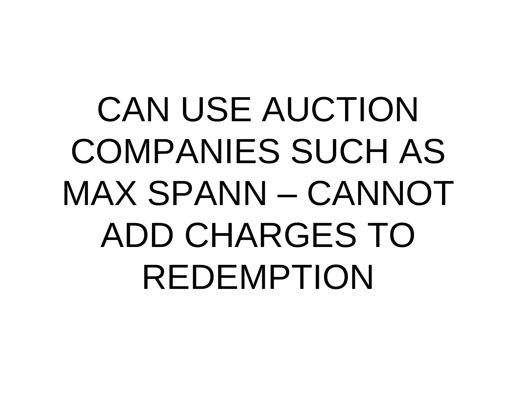# CAN USE AUCTION COMPANIES SUCH AS MAX SPANN – CANNOT ADD CHARGES TO REDEMPTION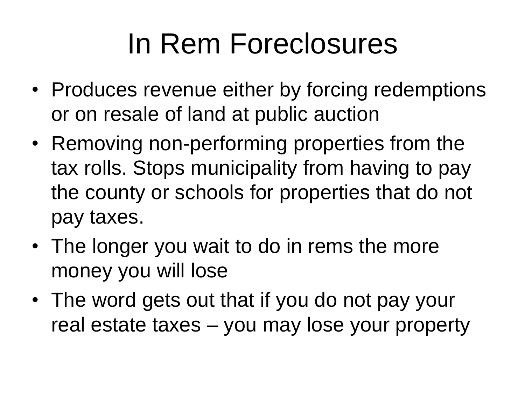### In Rem Foreclosures

- Produces revenue either by forcing redemptions or on resale of land at public auction
- Removing non-performing properties from the tax rolls. Stops municipality from having to pay the county or schools for properties that do not pay taxes.
- The longer you wait to do in rems the more money you will lose
- The word gets out that if you do not pay your real estate taxes – you may lose your property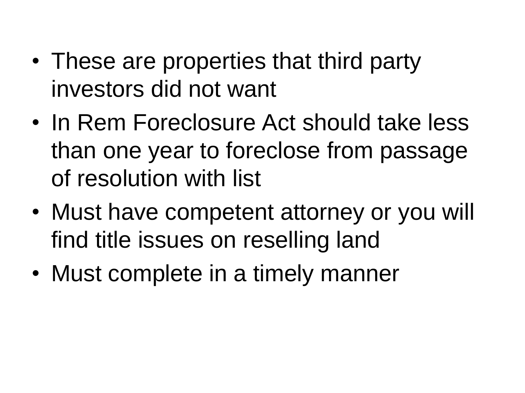- These are properties that third party investors did not want
- In Rem Foreclosure Act should take less than one year to foreclose from passage of resolution with list
- Must have competent attorney or you will find title issues on reselling land
- Must complete in a timely manner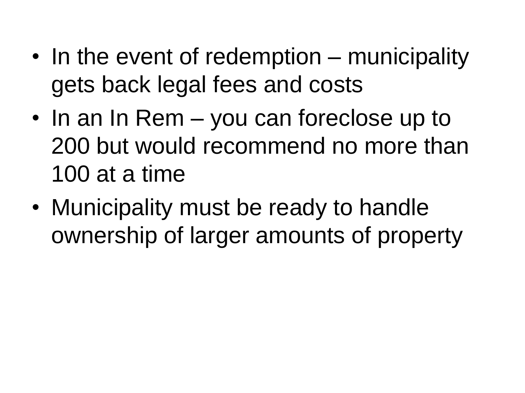- In the event of redemption municipality gets back legal fees and costs
- In an In Rem you can foreclose up to 200 but would recommend no more than 100 at a time
- Municipality must be ready to handle ownership of larger amounts of property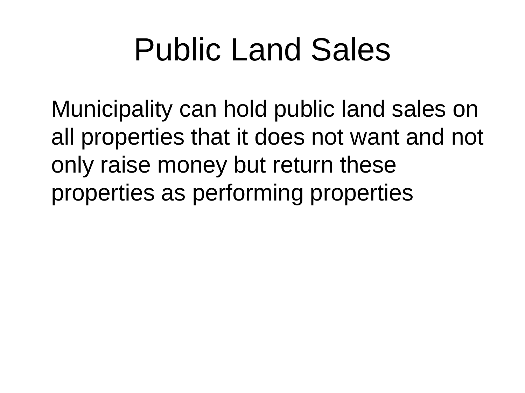### Public Land Sales

Municipality can hold public land sales on all properties that it does not want and not only raise money but return these properties as performing properties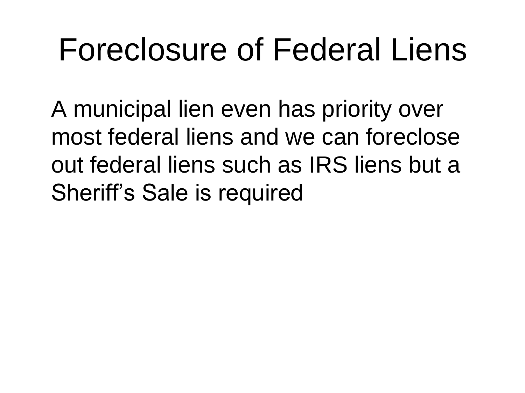### Foreclosure of Federal Liens

A municipal lien even has priority over most federal liens and we can foreclose out federal liens such as IRS liens but a Sheriff's Sale is required